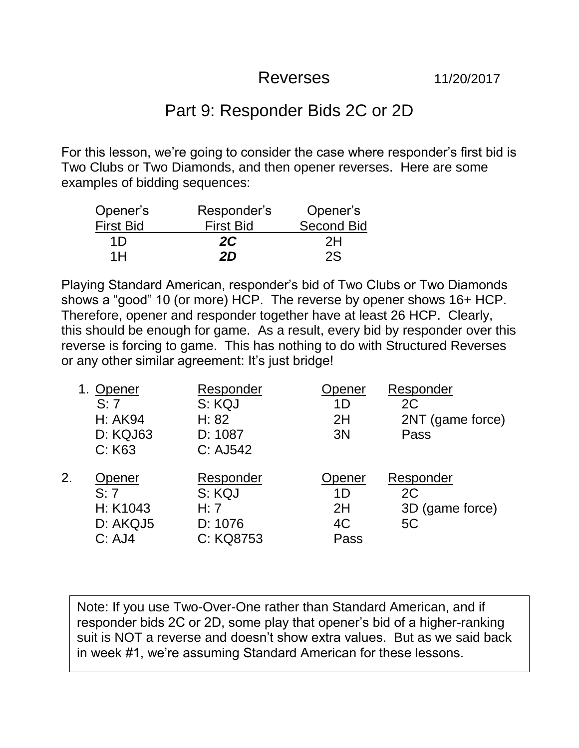## Reverses 11/20/2017

## Part 9: Responder Bids 2C or 2D

For this lesson, we're going to consider the case where responder's first bid is Two Clubs or Two Diamonds, and then opener reverses. Here are some examples of bidding sequences:

| Opener's         | Responder's      | Opener's          |
|------------------|------------------|-------------------|
| <b>First Bid</b> | <b>First Bid</b> | <b>Second Bid</b> |
| 1D               | 2C               | 2H                |
| 1H               | 2D               | 2S                |

Playing Standard American, responder's bid of Two Clubs or Two Diamonds shows a "good" 10 (or more) HCP. The reverse by opener shows 16+ HCP. Therefore, opener and responder together have at least 26 HCP. Clearly, this should be enough for game. As a result, every bid by responder over this reverse is forcing to game. This has nothing to do with Structured Reverses or any other similar agreement: It's just bridge!

|    | 1. Opener<br>S: 7<br><b>H: AK94</b><br>D: KQJ63<br>C: K63 | Responder<br>S: KQJ<br>H: 82<br>D: 1087<br>C: AJ542 | Opener<br>1D<br>2H<br>3N         | Responder<br>2C<br>2NT (game force)<br>Pass |
|----|-----------------------------------------------------------|-----------------------------------------------------|----------------------------------|---------------------------------------------|
| 2. | Opener<br>S: 7<br>H: K1043<br>D: AKQJ5<br>C: AJ4          | Responder<br>S: KQJ<br>H: 7<br>D: 1076<br>C: KQ8753 | Opener<br>1D<br>2H<br>4C<br>Pass | Responder<br>2C<br>3D (game force)<br>5C    |

Note: If you use Two-Over-One rather than Standard American, and if responder bids 2C or 2D, some play that opener's bid of a higher-ranking suit is NOT a reverse and doesn't show extra values. But as we said back in week #1, we're assuming Standard American for these lessons.